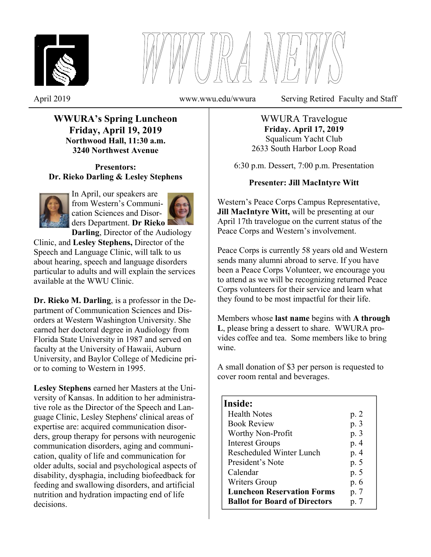



April 2019 www.wwu.edu/wwura Serving Retired Faculty and Staff

**WWURA's Spring Luncheon Friday, April 19, 2019 Northwood Hall, 11:30 a.m. 3240 Northwest Avenue** 

**Presentors: Dr. Rieko Darling & Lesley Stephens** 



In April, our speakers are from Western's Communication Sciences and Disorders Department. **Dr Rieko** 



**Darling**, Director of the Audiology Clinic, and **Lesley Stephens,** Director of the Speech and Language Clinic, will talk to us about hearing, speech and language disorders particular to adults and will explain the services available at the WWU Clinic.

**Dr. Rieko M. Darling**, is a professor in the Department of Communication Sciences and Disorders at Western Washington University. She earned her doctoral degree in Audiology from Florida State University in 1987 and served on faculty at the University of Hawaii, Auburn University, and Baylor College of Medicine prior to coming to Western in 1995.

**Lesley Stephens** earned her Masters at the University of Kansas. In addition to her administrative role as the Director of the Speech and Language Clinic, Lesley Stephens' clinical areas of expertise are: acquired communication disorders, group therapy for persons with neurogenic communication disorders, aging and communication, quality of life and communication for older adults, social and psychological aspects of disability, dysphagia, including biofeedback for feeding and swallowing disorders, and artificial nutrition and hydration impacting end of life decisions.

WWURA Travelogue **Friday. April 17, 2019**  Squalicum Yacht Club 2633 South Harbor Loop Road

6:30 p.m. Dessert, 7:00 p.m. Presentation

## **Presenter: Jill MacIntyre Witt**

Western's Peace Corps Campus Representative, **Jill MacIntyre Witt,** will be presenting at our April 17th travelogue on the current status of the Peace Corps and Western's involvement.

Peace Corps is currently 58 years old and Western sends many alumni abroad to serve. If you have been a Peace Corps Volunteer, we encourage you to attend as we will be recognizing returned Peace Corps volunteers for their service and learn what they found to be most impactful for their life.

Members whose **last name** begins with **A through L**, please bring a dessert to share. WWURA provides coffee and tea. Some members like to bring wine

A small donation of \$3 per person is requested to cover room rental and beverages.

#### **Inside:**  Health Notes p. 2 Book Review p. 3 Worthy Non-Profit p. 3 Interest Groups p. 4 Rescheduled Winter Lunch p. 4 President's Note p. 5 Calendar p. 5 Writers Group p. 6 **Luncheon Reservation Forms** p. 7 **Ballot for Board of Directors** p. 7 j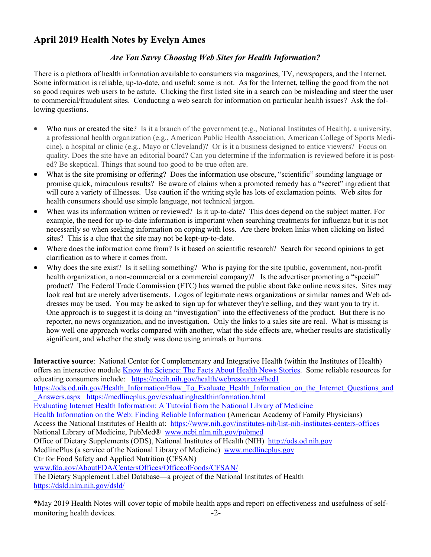# **April 2019 Health Notes by Evelyn Ames**

#### *Are You Savvy Choosing Web Sites for Health Information?*

There is a plethora of health information available to consumers via magazines, TV, newspapers, and the Internet. Some information is reliable, up-to-date, and useful; some is not. As for the Internet, telling the good from the not so good requires web users to be astute. Clicking the first listed site in a search can be misleading and steer the user to commercial/fraudulent sites. Conducting a web search for information on particular health issues? Ask the following questions.

- Who runs or created the site? Is it a branch of the government (e.g., National Institutes of Health), a university, a professional health organization (e.g., American Public Health Association, American College of Sports Medicine), a hospital or clinic (e.g., Mayo or Cleveland)? Or is it a business designed to entice viewers? Focus on quality. Does the site have an editorial board? Can you determine if the information is reviewed before it is posted? Be skeptical. Things that sound too good to be true often are.
- What is the site promising or offering? Does the information use obscure, "scientific" sounding language or promise quick, miraculous results? Be aware of claims when a promoted remedy has a "secret" ingredient that will cure a variety of illnesses. Use caution if the writing style has lots of exclamation points. Web sites for health consumers should use simple language, not technical jargon.
- When was its information written or reviewed? Is it up-to-date? This does depend on the subject matter. For example, the need for up-to-date information is important when searching treatments for influenza but it is not necessarily so when seeking information on coping with loss. Are there broken links when clicking on listed sites? This is a clue that the site may not be kept-up-to-date.
- Where does the information come from? Is it based on scientific research? Search for second opinions to get clarification as to where it comes from.
- Why does the site exist? Is it selling something? Who is paying for the site (public, government, non-profit health organization, a non-commercial or a commercial company)? Is the advertiser promoting a "special" product? The Federal Trade Commission (FTC) has warned the public about fake online news sites. Sites may look real but are merely advertisements. Logos of legitimate news organizations or similar names and Web addresses may be used. You may be asked to sign up for whatever they're selling, and they want you to try it. One approach is to suggest it is doing an "investigation" into the effectiveness of the product. But there is no reporter, no news organization, and no investigation. Only the links to a sales site are real. What is missing is how well one approach works compared with another, what the side effects are, whether results are statistically significant, and whether the study was done using animals or humans.

**Interactive source**: National Center for Complementary and Integrative Health (within the Institutes of Health) offers an interactive module Know the Science: The Facts About Health News Stories. Some reliable resources for educating consumers include: https://nccih.nih.gov/health/webresources#hed1 https://ods.od.nih.gov/Health\_Information/How\_To\_Evaluate\_Health\_Information\_on\_the\_Internet\_Questions\_and \_Answers.aspx https://medlineplus.gov/evaluatinghealthinformation.html Evaluating Internet Health Information: A Tutorial from the National Library of Medicine Health Information on the Web: Finding Reliable Information (American Academy of Family Physicians) Access the National Institutes of Health at: https://www.nih.gov/institutes-nih/list-nih-institutes-centers-offices National Library of Medicine, PubMed® www.ncbi.nlm.nih.gov/pubmed Office of Dietary Supplements (ODS), National Institutes of Health (NIH) http://ods.od.nih.gov MedlinePlus (a service of the National Library of Medicine) www.medlineplus.gov Ctr for Food Safety and Applied Nutrition (CFSAN) www.fda.gov/AboutFDA/CentersOffices/OfficeofFoods/CFSAN/ The Dietary Supplement Label Database—a project of the National Institutes of Health https://dsld.nlm.nih.gov/dsld/

\*May 2019 Health Notes will cover topic of mobile health apps and report on effectiveness and usefulness of selfmonitoring health devices.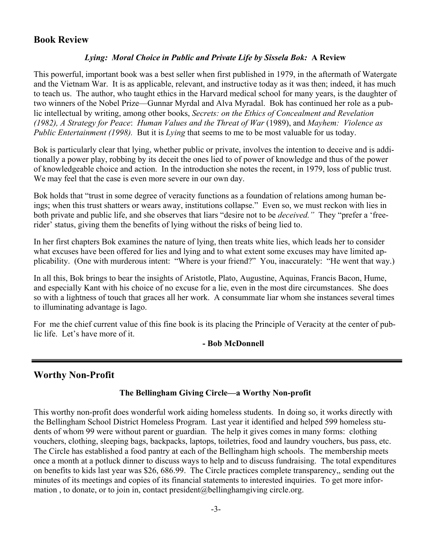## **Book Review**

#### *Lying: Moral Choice in Public and Private Life by Sissela Bok:* **A Review**

This powerful, important book was a best seller when first published in 1979, in the aftermath of Watergate and the Vietnam War. It is as applicable, relevant, and instructive today as it was then; indeed, it has much to teach us. The author, who taught ethics in the Harvard medical school for many years, is the daughter of two winners of the Nobel Prize—Gunnar Myrdal and Alva Myradal. Bok has continued her role as a public intellectual by writing, among other books, *Secrets: on the Ethics of Concealment and Revelation (1982), A Strategy for Peace*: *Human Values and the Threat of War* (1989), and *Mayhem: Violence as Public Entertainment (1998).* But it is *Lying* that seems to me to be most valuable for us today.

Bok is particularly clear that lying, whether public or private, involves the intention to deceive and is additionally a power play, robbing by its deceit the ones lied to of power of knowledge and thus of the power of knowledgeable choice and action. In the introduction she notes the recent, in 1979, loss of public trust. We may feel that the case is even more severe in our own day.

Bok holds that "trust in some degree of veracity functions as a foundation of relations among human beings; when this trust shatters or wears away, institutions collapse." Even so, we must reckon with lies in both private and public life, and she observes that liars "desire not to be *deceived."* They "prefer a 'freerider' status, giving them the benefits of lying without the risks of being lied to.

In her first chapters Bok examines the nature of lying, then treats white lies, which leads her to consider what excuses have been offered for lies and lying and to what extent some excuses may have limited applicability. (One with murderous intent: "Where is your friend?" You, inaccurately: "He went that way.)

In all this, Bok brings to bear the insights of Aristotle, Plato, Augustine, Aquinas, Francis Bacon, Hume, and especially Kant with his choice of no excuse for a lie, even in the most dire circumstances. She does so with a lightness of touch that graces all her work. A consummate liar whom she instances several times to illuminating advantage is Iago.

For me the chief current value of this fine book is its placing the Principle of Veracity at the center of public life. Let's have more of it.

#### **- Bob McDonnell**

## **Worthy Non-Profit**

### **The Bellingham Giving Circle—a Worthy Non-profit**

This worthy non-profit does wonderful work aiding homeless students. In doing so, it works directly with the Bellingham School District Homeless Program. Last year it identified and helped 599 homeless students of whom 99 were without parent or guardian. The help it gives comes in many forms: clothing vouchers, clothing, sleeping bags, backpacks, laptops, toiletries, food and laundry vouchers, bus pass, etc. The Circle has established a food pantry at each of the Bellingham high schools. The membership meets once a month at a potluck dinner to discuss ways to help and to discuss fundraising. The total expenditures on benefits to kids last year was \$26, 686.99. The Circle practices complete transparency,, sending out the minutes of its meetings and copies of its financial statements to interested inquiries. To get more information, to donate, or to join in, contact president@bellinghamgiving circle.org.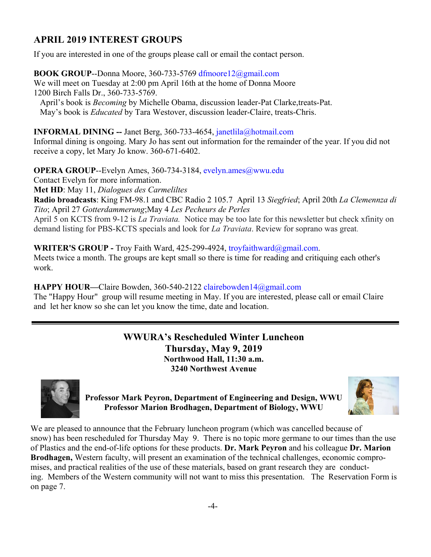# **APRIL 2019 INTEREST GROUPS**

If you are interested in one of the groups please call or email the contact person.

**BOOK GROUP**--Donna Moore, 360-733-5769 dfmoore12@gmail.com We will meet on Tuesday at 2:00 pm April 16th at the home of Donna Moore 1200 Birch Falls Dr., 360-733-5769. April's book is *Becoming* by Michelle Obama, discussion leader-Pat Clarke,treats-Pat.

May's book is *Educated* by Tara Westover, discussion leader-Claire, treats-Chris.

#### **INFORMAL DINING --** Janet Berg, 360-733-4654, janetlila@hotmail.com

Informal dining is ongoing. Mary Jo has sent out information for the remainder of the year. If you did not receive a copy, let Mary Jo know. 360-671-6402.

**OPERA GROUP--Evelyn Ames, 360-734-3184, evelyn.ames@wwu.edu** 

Contact Evelyn for more information.

**Met HD**: May 11, *Dialogues des Carmeliltes* 

**Radio broadcasts**: King FM-98.1 and CBC Radio 2 105.7 April 13 *Siegfried*; April 20th *La Clemennza di Tito*; April 27 *Gotterdammerung*;May 4 *Les Pecheurs de Perles* 

April 5 on KCTS from 9-12 is *La Traviata.* Notice may be too late for this newsletter but check xfinity on demand listing for PBS-KCTS specials and look for *La Traviata*. Review for soprano was great.

#### **WRITER'S GROUP -** Troy Faith Ward, 425-299-4924, troyfaithward@gmail.com.

Meets twice a month. The groups are kept small so there is time for reading and critiquing each other's work.

#### **HAPPY HOUR—**Claire Bowden, 360-540-2122 clairebowden14@gmail.com

The "Happy Hour" group will resume meeting in May. If you are interested, please call or email Claire and let her know so she can let you know the time, date and location.

## **WWURA's Rescheduled Winter Luncheon Thursday, May 9, 2019 Northwood Hall, 11:30 a.m. 3240 Northwest Avenue**



**Professor Mark Peyron, Department of Engineering and Design, WWU Professor Marion Brodhagen, Department of Biology, WWU** 



We are pleased to announce that the February luncheon program (which was cancelled because of snow) has been rescheduled for Thursday May 9. There is no topic more germane to our times than the use of Plastics and the end-of-life options for these products. **Dr. Mark Peyron** and his colleague **Dr. Marion Brodhagen,** Western faculty, will present an examination of the technical challenges, economic compromises, and practical realities of the use of these materials, based on grant research they are conducting. Members of the Western community will not want to miss this presentation. The Reservation Form is on page 7.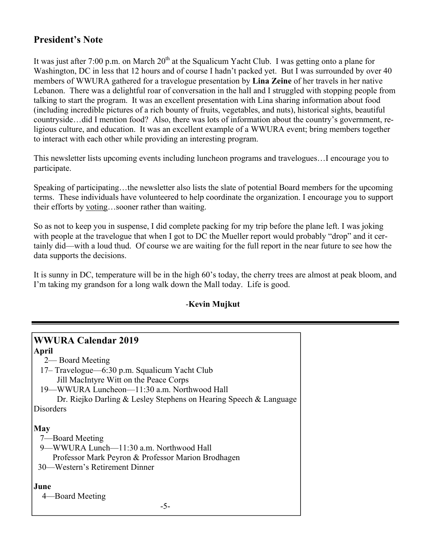# **President's Note**

It was just after 7:00 p.m. on March  $20<sup>th</sup>$  at the Squalicum Yacht Club. I was getting onto a plane for Washington, DC in less that 12 hours and of course I hadn't packed yet. But I was surrounded by over 40 members of WWURA gathered for a travelogue presentation by **Lina Zeine** of her travels in her native Lebanon. There was a delightful roar of conversation in the hall and I struggled with stopping people from talking to start the program. It was an excellent presentation with Lina sharing information about food (including incredible pictures of a rich bounty of fruits, vegetables, and nuts), historical sights, beautiful countryside…did I mention food? Also, there was lots of information about the country's government, religious culture, and education. It was an excellent example of a WWURA event; bring members together to interact with each other while providing an interesting program.

This newsletter lists upcoming events including luncheon programs and travelogues…I encourage you to participate.

Speaking of participating…the newsletter also lists the slate of potential Board members for the upcoming terms. These individuals have volunteered to help coordinate the organization. I encourage you to support their efforts by voting…sooner rather than waiting.

So as not to keep you in suspense, I did complete packing for my trip before the plane left. I was joking with people at the travelogue that when I got to DC the Mueller report would probably "drop" and it certainly did—with a loud thud. Of course we are waiting for the full report in the near future to see how the data supports the decisions.

It is sunny in DC, temperature will be in the high 60's today, the cherry trees are almost at peak bloom, and I'm taking my grandson for a long walk down the Mall today. Life is good.

#### -**Kevin Mujkut**

| <b>WWURA Calendar 2019</b>                                        |  |  |  |
|-------------------------------------------------------------------|--|--|--|
| April                                                             |  |  |  |
| 2— Board Meeting                                                  |  |  |  |
| 17– Travelogue—6:30 p.m. Squalicum Yacht Club                     |  |  |  |
| Jill MacIntyre Witt on the Peace Corps                            |  |  |  |
| 19—WWURA Luncheon—11:30 a.m. Northwood Hall                       |  |  |  |
| Dr. Riejko Darling & Lesley Stephens on Hearing Speech & Language |  |  |  |
| <b>Disorders</b>                                                  |  |  |  |
|                                                                   |  |  |  |
| <b>May</b>                                                        |  |  |  |
| 7—Board Meeting                                                   |  |  |  |
| 9—WWURA Lunch—11:30 a.m. Northwood Hall                           |  |  |  |
| Professor Mark Peyron & Professor Marion Brodhagen                |  |  |  |
| 30—Western's Retirement Dinner                                    |  |  |  |
|                                                                   |  |  |  |
| June                                                              |  |  |  |
| 4—Board Meeting                                                   |  |  |  |
| $-5-$                                                             |  |  |  |
|                                                                   |  |  |  |
|                                                                   |  |  |  |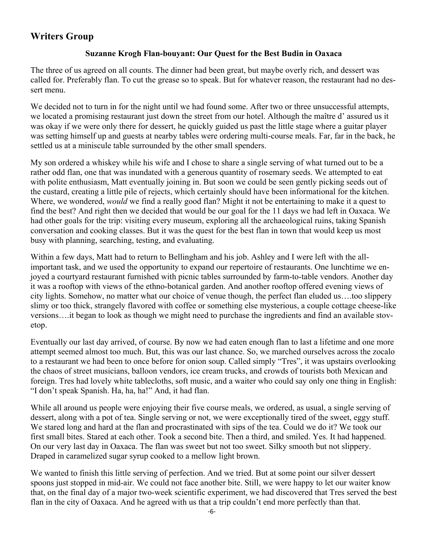# **Writers Group**

#### **Suzanne Krogh Flan-bouyant: Our Quest for the Best Budin in Oaxaca**

The three of us agreed on all counts. The dinner had been great, but maybe overly rich, and dessert was called for. Preferably flan. To cut the grease so to speak. But for whatever reason, the restaurant had no dessert menu.

We decided not to turn in for the night until we had found some. After two or three unsuccessful attempts, we located a promising restaurant just down the street from our hotel. Although the maître d' assured us it was okay if we were only there for dessert, he quickly guided us past the little stage where a guitar player was setting himself up and guests at nearby tables were ordering multi-course meals. Far, far in the back, he settled us at a miniscule table surrounded by the other small spenders.

My son ordered a whiskey while his wife and I chose to share a single serving of what turned out to be a rather odd flan, one that was inundated with a generous quantity of rosemary seeds. We attempted to eat with polite enthusiasm, Matt eventually joining in. But soon we could be seen gently picking seeds out of the custard, creating a little pile of rejects, which certainly should have been informational for the kitchen. Where, we wondered, *would* we find a really good flan? Might it not be entertaining to make it a quest to find the best? And right then we decided that would be our goal for the 11 days we had left in Oaxaca. We had other goals for the trip: visiting every museum, exploring all the archaeological ruins, taking Spanish conversation and cooking classes. But it was the quest for the best flan in town that would keep us most busy with planning, searching, testing, and evaluating.

Within a few days, Matt had to return to Bellingham and his job. Ashley and I were left with the allimportant task, and we used the opportunity to expand our repertoire of restaurants. One lunchtime we enjoyed a courtyard restaurant furnished with picnic tables surrounded by farm-to-table vendors. Another day it was a rooftop with views of the ethno-botanical garden. And another rooftop offered evening views of city lights. Somehow, no matter what our choice of venue though, the perfect flan eluded us….too slippery slimy or too thick, strangely flavored with coffee or something else mysterious, a couple cottage cheese-like versions….it began to look as though we might need to purchase the ingredients and find an available stovetop.

Eventually our last day arrived, of course. By now we had eaten enough flan to last a lifetime and one more attempt seemed almost too much. But, this was our last chance. So, we marched ourselves across the zocalo to a restaurant we had been to once before for onion soup. Called simply "Tres", it was upstairs overlooking the chaos of street musicians, balloon vendors, ice cream trucks, and crowds of tourists both Mexican and foreign. Tres had lovely white tablecloths, soft music, and a waiter who could say only one thing in English: "I don't speak Spanish. Ha, ha, ha!" And, it had flan.

While all around us people were enjoying their five course meals, we ordered, as usual, a single serving of dessert, along with a pot of tea. Single serving or not, we were exceptionally tired of the sweet, eggy stuff. We stared long and hard at the flan and procrastinated with sips of the tea. Could we do it? We took our first small bites. Stared at each other. Took a second bite. Then a third, and smiled. Yes. It had happened. On our very last day in Oaxaca. The flan was sweet but not too sweet. Silky smooth but not slippery. Draped in caramelized sugar syrup cooked to a mellow light brown.

We wanted to finish this little serving of perfection. And we tried. But at some point our silver dessert spoons just stopped in mid-air. We could not face another bite. Still, we were happy to let our waiter know that, on the final day of a major two-week scientific experiment, we had discovered that Tres served the best flan in the city of Oaxaca. And he agreed with us that a trip couldn't end more perfectly than that.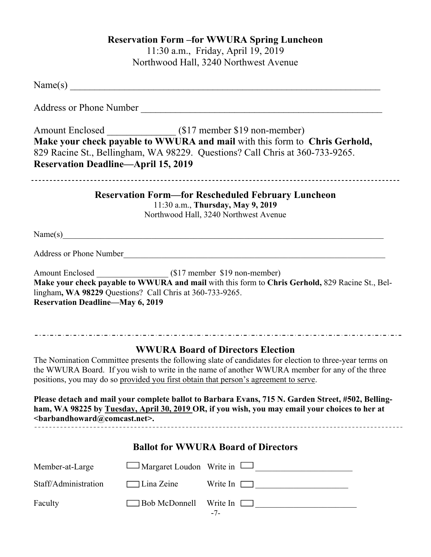# **Reservation Form –for WWURA Spring Luncheon**

11:30 a.m., Friday, April 19, 2019 Northwood Hall, 3240 Northwest Avenue

Name(s) \_\_\_\_\_\_\_\_\_\_\_\_\_\_\_\_\_\_\_\_\_\_\_\_\_\_\_\_\_\_\_\_\_\_\_\_\_\_\_\_\_\_\_\_\_\_\_\_\_\_\_\_\_\_\_\_\_\_\_\_\_\_\_

Address or Phone Number \_\_\_\_\_\_\_\_\_\_\_\_\_\_\_\_\_\_\_\_\_\_\_\_\_\_\_\_\_\_\_\_\_\_\_\_\_\_\_\_\_\_\_\_\_\_\_\_\_

Amount Enclosed (\$17 member \$19 non-member) **Make your check payable to WWURA and mail** with this form to **Chris Gerhold,**  829 Racine St., Bellingham, WA 98229. Questions? Call Chris at 360-733-9265. **Reservation Deadline—April 15, 2019** 

#### **Reservation Form—for Rescheduled February Luncheon**

11:30 a.m., **Thursday, May 9, 2019**

Northwood Hall, 3240 Northwest Avenue

Name(s)

Address or Phone Number\_\_\_\_\_\_\_\_\_\_\_\_\_\_\_\_\_\_\_\_\_\_\_\_\_\_\_\_\_\_\_\_\_\_\_\_\_\_\_\_\_\_\_\_\_\_\_\_\_\_\_\_\_\_\_\_\_\_\_\_\_\_

Amount Enclosed \_\_\_\_\_\_\_\_\_\_\_\_\_\_\_\_\_ (\$17 member \$19 non-member) **Make your check payable to WWURA and mail** with this form to **Chris Gerhold,** 829 Racine St., Bellingham**, WA 98229** Questions? Call Chris at 360-733-9265. **Reservation Deadline—May 6, 2019**

# **WWURA Board of Directors Election**

The Nomination Committee presents the following slate of candidates for election to three-year terms on the WWURA Board. If you wish to write in the name of another WWURA member for any of the three positions, you may do so provided you first obtain that person's agreement to serve.

**Please detach and mail your complete ballot to Barbara Evans, 715 N. Garden Street, #502, Bellingham, WA 98225 by Tuesday, April 30, 2019 OR, if you wish, you may email your choices to her at <barbandhoward@comcast.net>.** 

## **Ballot for WWURA Board of Directors**

| Member-at-Large      | $\Box$ Margaret Loudon Write in $\Box$ |                        |
|----------------------|----------------------------------------|------------------------|
| Staff/Administration | $\Box$ Lina Zeine                      | Write In $\Box$        |
| Faculty              | $\Box$ Bob McDonnell                   | Write In $\Box$<br>-7- |